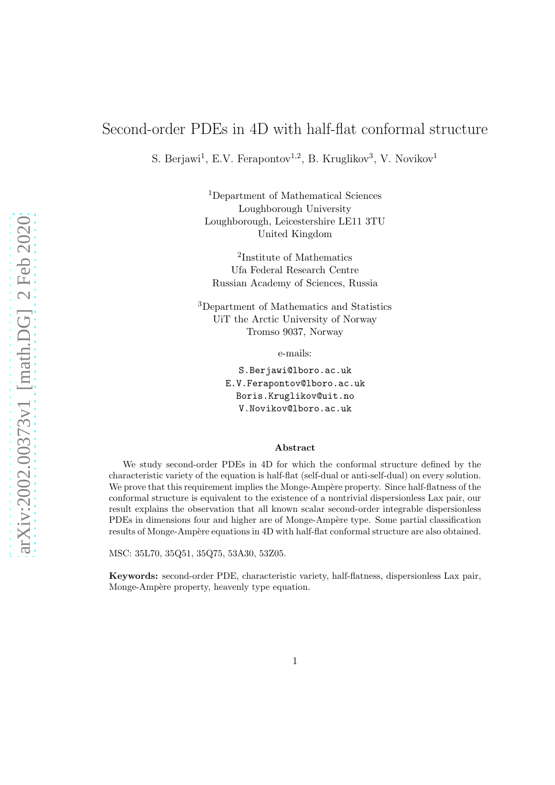# Second-order PDEs in 4D with half-flat conformal structure

S. Berjawi<sup>1</sup>, E.V. Ferapontov<sup>1,2</sup>, B. Kruglikov<sup>3</sup>, V. Novikov<sup>1</sup>

<sup>1</sup>Department of Mathematical Sciences Loughborough University Loughborough, Leicestershire LE11 3TU United Kingdom

2 Institute of Mathematics Ufa Federal Research Centre Russian Academy of Sciences, Russia

<sup>3</sup>Department of Mathematics and Statistics UiT the Arctic University of Norway Tromso 9037, Norway

e-mails:

S.Berjawi@lboro.ac.uk E.V.Ferapontov@lboro.ac.uk Boris.Kruglikov@uit.no V.Novikov@lboro.ac.uk

#### Abstract

We study second-order PDEs in 4D for which the conformal structure defined by the characteristic variety of the equation is half-flat (self-dual or anti-self-dual) on every solution. We prove that this requirement implies the Monge-Ampère property. Since half-flatness of the conformal structure is equivalent to the existence of a nontrivial dispersionless Lax pair, our result explains the observation that all known scalar second-order integrable dispersionless PDEs in dimensions four and higher are of Monge-Ampère type. Some partial classification results of Monge-Ampère equations in 4D with half-flat conformal structure are also obtained.

MSC: 35L70, 35Q51, 35Q75, 53A30, 53Z05.

Keywords: second-order PDE, characteristic variety, half-flatness, dispersionless Lax pair, Monge-Ampère property, heavenly type equation.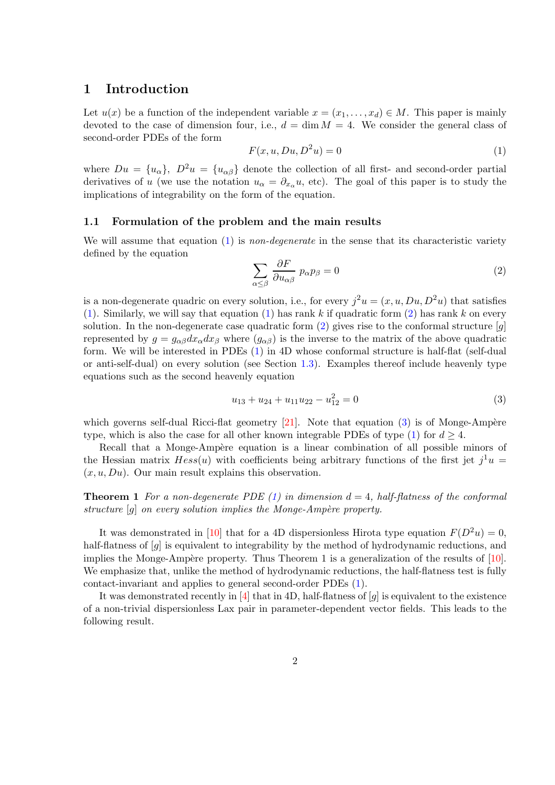# 1 Introduction

Let  $u(x)$  be a function of the independent variable  $x = (x_1, \ldots, x_d) \in M$ . This paper is mainly devoted to the case of dimension four, i.e.,  $d = \dim M = 4$ . We consider the general class of second-order PDEs of the form

<span id="page-1-0"></span>
$$
F(x, u, Du, D^2u) = 0
$$
\n<sup>(1)</sup>

where  $Du = \{u_{\alpha}\}\$ ,  $D^2u = \{u_{\alpha\beta}\}\$  denote the collection of all first- and second-order partial derivatives of u (we use the notation  $u_{\alpha} = \partial_{x_{\alpha}} u$ , etc). The goal of this paper is to study the implications of integrability on the form of the equation.

#### 1.1 Formulation of the problem and the main results

We will assume that equation  $(1)$  is non-degenerate in the sense that its characteristic variety defined by the equation

<span id="page-1-1"></span>
$$
\sum_{\alpha \le \beta} \frac{\partial F}{\partial u_{\alpha\beta}} p_{\alpha} p_{\beta} = 0 \tag{2}
$$

is a non-degenerate quadric on every solution, i.e., for every  $j^2u = (x, u, Du, D^2u)$  that satisfies [\(1\)](#page-1-0). Similarly, we will say that equation [\(1\)](#page-1-0) has rank k if quadratic form [\(2\)](#page-1-1) has rank k on every solution. In the non-degenerate case quadratic form  $(2)$  gives rise to the conformal structure  $[q]$ represented by  $g = g_{\alpha\beta}dx_{\alpha}dx_{\beta}$  where  $(g_{\alpha\beta})$  is the inverse to the matrix of the above quadratic form. We will be interested in PDEs [\(1\)](#page-1-0) in 4D whose conformal structure is half-flat (self-dual or anti-self-dual) on every solution (see Section [1.3\)](#page-4-0). Examples thereof include heavenly type equations such as the second heavenly equation

<span id="page-1-2"></span>
$$
u_{13} + u_{24} + u_{11}u_{22} - u_{12}^2 = 0
$$
\n(3)

which governs self-dual Ricci-flat geometry  $[21]$ . Note that equation  $(3)$  is of Monge-Ampère type, which is also the case for all other known integrable PDEs of type [\(1\)](#page-1-0) for  $d \geq 4$ .

Recall that a Monge-Ampère equation is a linear combination of all possible minors of the Hessian matrix  $Hess(u)$  with coefficients being arbitrary functions of the first jet  $j^1u =$  $(x, u, Du)$ . Our main result explains this observation.

<span id="page-1-4"></span>**Theorem 1** For a non-degenerate PDE [\(1\)](#page-1-0) in dimension  $d = 4$ , half-flatness of the conformal structure  $[g]$  on every solution implies the Monge-Ampère property.

It was demonstrated in [\[10\]](#page-11-0) that for a 4D dispersionless Hirota type equation  $F(D^2u) = 0$ , half-flatness of [q] is equivalent to integrability by the method of hydrodynamic reductions, and implies the Monge-Ampère property. Thus Theorem 1 is a generalization of the results of  $[10]$ . We emphasize that, unlike the method of hydrodynamic reductions, the half-flatness test is fully contact-invariant and applies to general second-order PDEs [\(1\)](#page-1-0).

<span id="page-1-3"></span>It was demonstrated recently in [\[4\]](#page-11-1) that in 4D, half-flatness of [g] is equivalent to the existence of a non-trivial dispersionless Lax pair in parameter-dependent vector fields. This leads to the following result.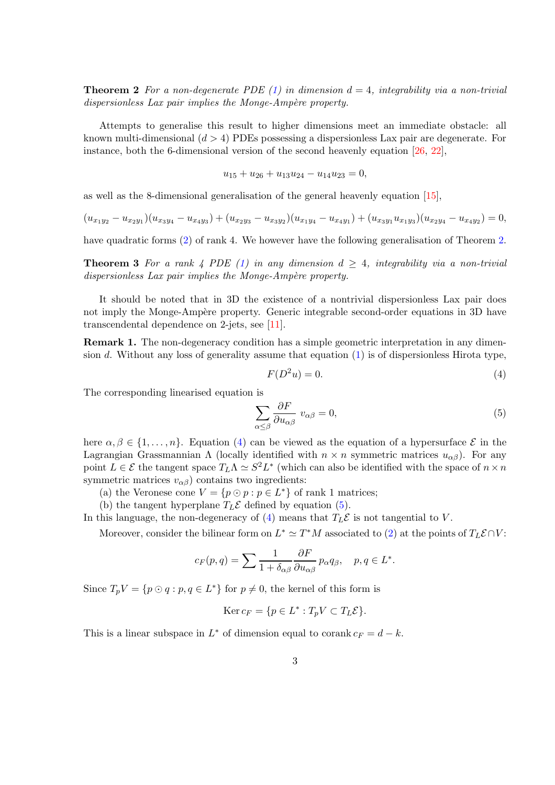**Theorem 2** For a non-degenerate PDE [\(1\)](#page-1-0) in dimension  $d = 4$ , integrability via a non-trivial dispersionless Lax pair implies the Monge-Ampère property.

Attempts to generalise this result to higher dimensions meet an immediate obstacle: all known multi-dimensional  $(d > 4)$  PDEs possessing a dispersionless Lax pair are degenerate. For instance, both the 6-dimensional version of the second heavenly equation  $[26, 22]$  $[26, 22]$ ,

$$
u_{15} + u_{26} + u_{13}u_{24} - u_{14}u_{23} = 0,
$$

as well as the 8-dimensional generalisation of the general heavenly equation [\[15\]](#page-12-3),

$$
(u_{x_1y_2} - u_{x_2y_1})(u_{x_3y_4} - u_{x_4y_3}) + (u_{x_2y_3} - u_{x_3y_2})(u_{x_1y_4} - u_{x_4y_1}) + (u_{x_3y_1}u_{x_1y_3})(u_{x_2y_4} - u_{x_4y_2}) = 0,
$$

<span id="page-2-2"></span>have quadratic forms [\(2\)](#page-1-1) of rank 4. We however have the following generalisation of Theorem [2.](#page-1-3)

**Theorem 3** For a rank 4 PDE [\(1\)](#page-1-0) in any dimension  $d \geq 4$ , integrability via a non-trivial dispersionless Lax pair implies the Monge-Ampère property.

It should be noted that in 3D the existence of a nontrivial dispersionless Lax pair does not imply the Monge-Ampère property. Generic integrable second-order equations in 3D have transcendental dependence on 2-jets, see [\[11\]](#page-11-2).

Remark 1. The non-degeneracy condition has a simple geometric interpretation in any dimension d. Without any loss of generality assume that equation  $(1)$  is of dispersionless Hirota type,

<span id="page-2-0"></span>
$$
F(D^2u) = 0.\t\t(4)
$$

The corresponding linearised equation is

<span id="page-2-1"></span>
$$
\sum_{\alpha \le \beta} \frac{\partial F}{\partial u_{\alpha \beta}} \ v_{\alpha \beta} = 0,\tag{5}
$$

here  $\alpha, \beta \in \{1, \ldots, n\}$ . Equation [\(4\)](#page-2-0) can be viewed as the equation of a hypersurface  $\mathcal{E}$  in the Lagrangian Grassmannian Λ (locally identified with  $n \times n$  symmetric matrices  $u_{\alpha\beta}$ ). For any point  $L \in \mathcal{E}$  the tangent space  $T_L \Lambda \simeq S^2 L^*$  (which can also be identified with the space of  $n \times n$ symmetric matrices  $v_{\alpha\beta}$ ) contains two ingredients:

(a) the Veronese cone  $V = \{p \odot p : p \in L^*\}$  of rank 1 matrices;

(b) the tangent hyperplane  $T_L \mathcal{E}$  defined by equation [\(5\)](#page-2-1).

In this language, the non-degeneracy of [\(4\)](#page-2-0) means that  $T_L \mathcal{E}$  is not tangential to V.

Moreover, consider the bilinear form on  $L^* \simeq T^*M$  associated to [\(2\)](#page-1-1) at the points of  $T_L \mathcal{E} \cap V$ :

$$
c_F(p,q) = \sum \frac{1}{1 + \delta_{\alpha\beta}} \frac{\partial F}{\partial u_{\alpha\beta}} p_{\alpha} q_{\beta}, \quad p, q \in L^*.
$$

Since  $T_p V = \{p \odot q : p, q \in L^*\}$  for  $p \neq 0$ , the kernel of this form is

$$
\operatorname{Ker} c_F = \{ p \in L^* : T_p V \subset T_L \mathcal{E} \}.
$$

This is a linear subspace in  $L^*$  of dimension equal to corank  $c_F = d - k$ .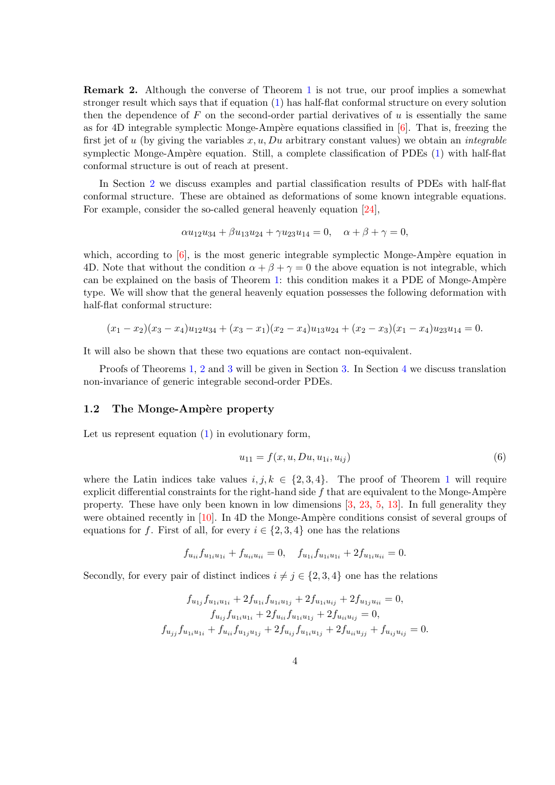Remark 2. Although the converse of Theorem [1](#page-1-4) is not true, our proof implies a somewhat stronger result which says that if equation [\(1\)](#page-1-0) has half-flat conformal structure on every solution then the dependence of  $F$  on the second-order partial derivatives of  $u$  is essentially the same as for 4D integrable symplectic Monge-Ampère equations classified in  $[6]$ . That is, freezing the first jet of u (by giving the variables  $x, u, Du$  arbitrary constant values) we obtain an *integrable* symplectic Monge-Ampère equation. Still, a complete classification of PDEs  $(1)$  with half-flat conformal structure is out of reach at present.

In Section [2](#page-4-1) we discuss examples and partial classification results of PDEs with half-flat conformal structure. These are obtained as deformations of some known integrable equations. For example, consider the so-called general heavenly equation [\[24\]](#page-12-4),

$$
\alpha u_{12}u_{34} + \beta u_{13}u_{24} + \gamma u_{23}u_{14} = 0, \quad \alpha + \beta + \gamma = 0,
$$

which, according to  $\left[6\right]$ , is the most generic integrable symplectic Monge-Ampère equation in 4D. Note that without the condition  $\alpha + \beta + \gamma = 0$  the above equation is not integrable, which can be explained on the basis of Theorem [1:](#page-1-4) this condition makes it a PDE of Monge-Ampère type. We will show that the general heavenly equation possesses the following deformation with half-flat conformal structure:

$$
(x_1-x_2)(x_3-x_4)u_{12}u_{34}+(x_3-x_1)(x_2-x_4)u_{13}u_{24}+(x_2-x_3)(x_1-x_4)u_{23}u_{14}=0.
$$

It will also be shown that these two equations are contact non-equivalent.

Proofs of Theorems [1,](#page-1-4) [2](#page-1-3) and [3](#page-2-2) will be given in Section [3.](#page-7-0) In Section [4](#page-9-0) we discuss translation non-invariance of generic integrable second-order PDEs.

### <span id="page-3-1"></span>1.2 The Monge-Ampère property

Let us represent equation  $(1)$  in evolutionary form,

<span id="page-3-0"></span>
$$
u_{11} = f(x, u, Du, u_{1i}, u_{ij})
$$
\n(6)

where the Latin indices take values  $i, j, k \in \{2, 3, 4\}$ . The proof of Theorem [1](#page-1-4) will require explicit differential constraints for the right-hand side  $f$  that are equivalent to the Monge-Ampère property. These have only been known in low dimensions [\[3,](#page-11-4) [23,](#page-12-5) [5,](#page-11-5) [13\]](#page-12-6). In full generality they were obtained recently in  $[10]$ . In 4D the Monge-Ampère conditions consist of several groups of equations for f. First of all, for every  $i \in \{2, 3, 4\}$  one has the relations

$$
f_{u_{ii}} f_{u_{1i}u_{1i}} + f_{u_{ii}u_{ii}} = 0, \quad f_{u_{1i}} f_{u_{1i}u_{1i}} + 2f_{u_{1i}u_{ii}} = 0.
$$

Secondly, for every pair of distinct indices  $i \neq j \in \{2, 3, 4\}$  one has the relations

$$
f_{u_{1j}}f_{u_{1i}u_{1i}} + 2f_{u_{1i}}f_{u_{1i}u_{1j}} + 2f_{u_{1i}u_{ij}} + 2f_{u_{1j}u_{ii}} = 0,
$$
  
\n
$$
f_{u_{ij}}f_{u_{1i}u_{1i}} + 2f_{u_{ii}}f_{u_{1i}u_{1j}} + 2f_{u_{ii}u_{ij}} = 0,
$$
  
\n
$$
f_{u_{jj}}f_{u_{1i}u_{1i}} + f_{u_{ii}}f_{u_{1j}u_{1j}} + 2f_{u_{ij}}f_{u_{1i}u_{1j}} + 2f_{u_{ii}u_{jj}} + f_{u_{ij}u_{ij}} = 0.
$$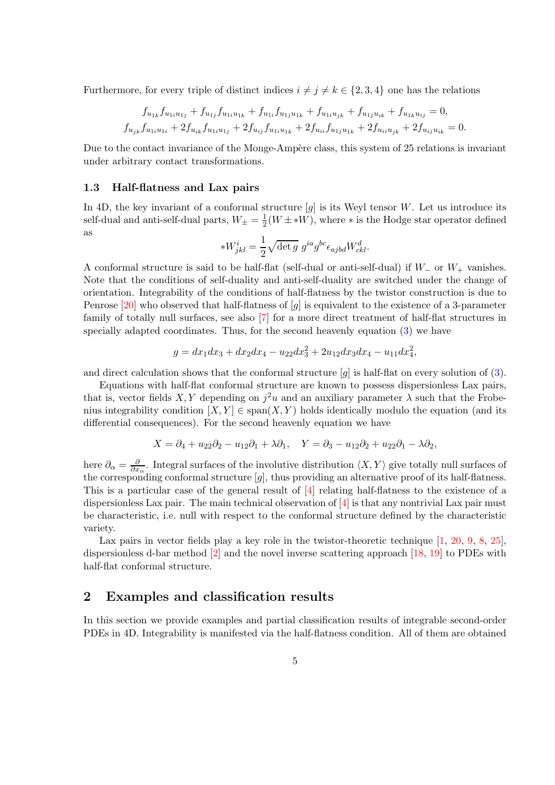Furthermore, for every triple of distinct indices  $i \neq j \neq k \in \{2, 3, 4\}$  one has the relations

$$
f_{u_{1k}}f_{u_{1i}u_{1j}} + f_{u_{1j}}f_{u_{1i}u_{1k}} + f_{u_{1i}}f_{u_{1j}u_{1k}} + f_{u_{1i}u_{jk}} + f_{u_{1j}u_{ik}} + f_{u_{1k}u_{ij}} = 0,
$$
  

$$
f_{u_{jk}}f_{u_{1i}u_{1i}} + 2f_{u_{ik}}f_{u_{1i}u_{1j}} + 2f_{u_{ij}}f_{u_{1i}u_{1k}} + 2f_{u_{ii}}f_{u_{1j}u_{1k}} + 2f_{u_{ii}u_{jk}} + 2f_{u_{ij}u_{ik}} = 0.
$$

Due to the contact invariance of the Monge-Ampère class, this system of 25 relations is invariant under arbitrary contact transformations.

### <span id="page-4-0"></span>1.3 Half-flatness and Lax pairs

In 4D, the key invariant of a conformal structure  $[g]$  is its Weyl tensor W. Let us introduce its self-dual and anti-self-dual parts,  $W_{\pm} = \frac{1}{2}$  $\frac{1}{2}(W \pm *W)$ , where  $*$  is the Hodge star operator defined as

$$
*W^i_{jkl} = \frac{1}{2} \sqrt{\det g} \ g^{ia} g^{bc} \epsilon_{ajbd} W^d_{ckl}.
$$

A conformal structure is said to be half-flat (self-dual or anti-self-dual) if  $W_-\,$  or  $W_+$  vanishes. Note that the conditions of self-duality and anti-self-duality are switched under the change of orientation. Integrability of the conditions of half-flatness by the twistor construction is due to Penrose  $[20]$  who observed that half-flatness of  $[g]$  is equivalent to the existence of a 3-parameter family of totally null surfaces, see also [\[7\]](#page-11-6) for a more direct treatment of half-flat structures in specially adapted coordinates. Thus, for the second heavenly equation [\(3\)](#page-1-2) we have

$$
g = dx_1 dx_3 + dx_2 dx_4 - u_{22} dx_3^2 + 2u_{12} dx_3 dx_4 - u_{11} dx_4^2,
$$

and direct calculation shows that the conformal structure  $[g]$  is half-flat on every solution of [\(3\)](#page-1-2).

Equations with half-flat conformal structure are known to possess dispersionless Lax pairs, that is, vector fields X, Y depending on  $j^2u$  and an auxiliary parameter  $\lambda$  such that the Frobenius integrability condition  $[X, Y] \in \text{span}(X, Y)$  holds identically modulo the equation (and its differential consequences). For the second heavenly equation we have

$$
X = \partial_4 + u_{22}\partial_2 - u_{12}\partial_1 + \lambda \partial_1, \quad Y = \partial_3 - u_{12}\partial_2 + u_{22}\partial_1 - \lambda \partial_2,
$$

here  $\partial_{\alpha} = \frac{\partial}{\partial x_{\alpha}}$ . Integral surfaces of the involutive distribution  $\langle X, Y \rangle$  give totally null surfaces of the corresponding conformal structure  $[q]$ , thus providing an alternative proof of its half-flatness. This is a particular case of the general result of [\[4\]](#page-11-1) relating half-flatness to the existence of a dispersionless Lax pair. The main technical observation of  $[4]$  is that any nontrivial Lax pair must be characteristic, i.e. null with respect to the conformal structure defined by the characteristic variety.

Lax pairs in vector fields play a key role in the twistor-theoretic technique [\[1,](#page-11-7) [20,](#page-12-7) [9,](#page-11-8) [8,](#page-11-9) [25\]](#page-12-8), dispersionless d-bar method [\[2\]](#page-11-10) and the novel inverse scattering approach [\[18,](#page-12-9) [19\]](#page-12-10) to PDEs with half-flat conformal structure.

### <span id="page-4-1"></span>2 Examples and classification results

In this section we provide examples and partial classification results of integrable second-order PDEs in 4D. Integrability is manifested via the half-flatness condition. All of them are obtained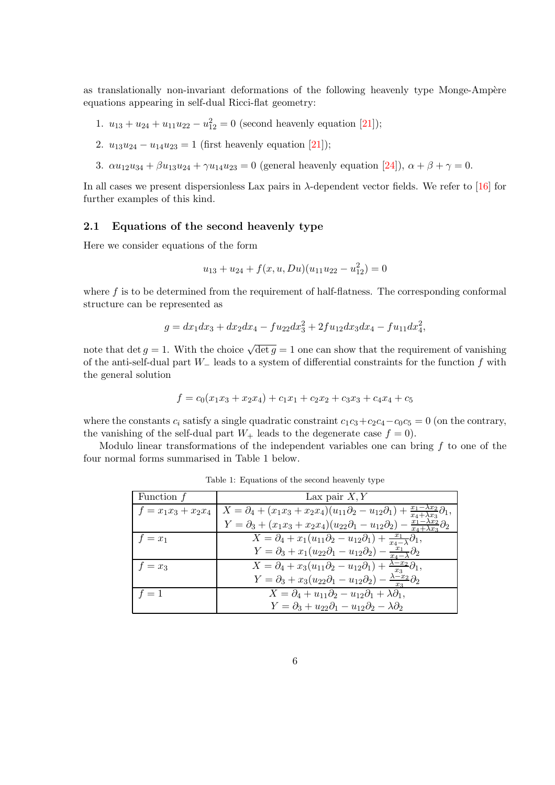as translationally non-invariant deformations of the following heavenly type Monge-Ampère equations appearing in self-dual Ricci-flat geometry:

- 1.  $u_{13} + u_{24} + u_{11}u_{22} u_{12}^2 = 0$  (second heavenly equation [\[21\]](#page-12-0));
- 2.  $u_{13}u_{24} u_{14}u_{23} = 1$  (first heavenly equation [\[21\]](#page-12-0));
- 3.  $\alpha u_{12}u_{34} + \beta u_{13}u_{24} + \gamma u_{14}u_{23} = 0$  (general heavenly equation [\[24\]](#page-12-4)),  $\alpha + \beta + \gamma = 0$ .

In all cases we present dispersionless Lax pairs in  $\lambda$ -dependent vector fields. We refer to [\[16\]](#page-12-11) for further examples of this kind.

### 2.1 Equations of the second heavenly type

Here we consider equations of the form

$$
u_{13} + u_{24} + f(x, u, Du)(u_{11}u_{22} - u_{12}^2) = 0
$$

where  $f$  is to be determined from the requirement of half-flatness. The corresponding conformal structure can be represented as

$$
g = dx_1 dx_3 + dx_2 dx_4 - fu_{22} dx_3^2 + 2fu_{12} dx_3 dx_4 - fu_{11} dx_4^2,
$$

note that det  $g = 1$ . With the choice  $\sqrt{\det g} = 1$  one can show that the requirement of vanishing of the anti-self-dual part W<sup>−</sup> leads to a system of differential constraints for the function f with the general solution

$$
f = c_0(x_1x_3 + x_2x_4) + c_1x_1 + c_2x_2 + c_3x_3 + c_4x_4 + c_5
$$

where the constants  $c_i$  satisfy a single quadratic constraint  $c_1c_3+c_2c_4-c_0c_5=0$  (on the contrary, the vanishing of the self-dual part  $W_+$  leads to the degenerate case  $f = 0$ .

Modulo linear transformations of the independent variables one can bring  $f$  to one of the four normal forms summarised in Table 1 below.

| Function $f$ | Lax pair $X, Y$                                                                                                                                             |
|--------------|-------------------------------------------------------------------------------------------------------------------------------------------------------------|
|              | $f = x_1x_3 + x_2x_4 \mid X = \partial_4 + (x_1x_3 + x_2x_4)(u_{11}\partial_2 - u_{12}\partial_1) + \frac{x_1 - \lambda x_2}{x_4 + \lambda x_3}\partial_1,$ |
|              | $Y = \partial_3 + (x_1x_3 + x_2x_4)(u_{22}\partial_1 - u_{12}\partial_2) - \frac{x_1 - \lambda x_2}{x_4 + \lambda x_2}\partial_2$                           |
| $f = x_1$    | $X = \partial_4 + x_1(u_{11}\partial_2 - u_{12}\partial_1) + \frac{x_1}{x_4 - \lambda}\partial_1,$                                                          |
|              | $Y = \partial_3 + x_1(u_{22}\partial_1 - u_{12}\partial_2) - \frac{x_1}{x_1 - \lambda}\partial_2$                                                           |
| $f = x_3$    | $X = \partial_4 + x_3(u_{11}\partial_2 - u_{12}\partial_1) + \frac{\lambda - x_2}{x_3}\partial_1,$                                                          |
|              | $Y = \partial_3 + x_3(u_{22}\partial_1 - u_{12}\partial_2) - \frac{\lambda - x_2}{x_2}\partial_2$                                                           |
| $f=1$        | $X = \partial_4 + u_{11}\partial_2 - u_{12}\partial_1 + \lambda \partial_1,$                                                                                |
|              | $Y = \partial_3 + u_{22}\partial_1 - u_{12}\partial_2 - \lambda \partial_2$                                                                                 |

Table 1: Equations of the second heavenly type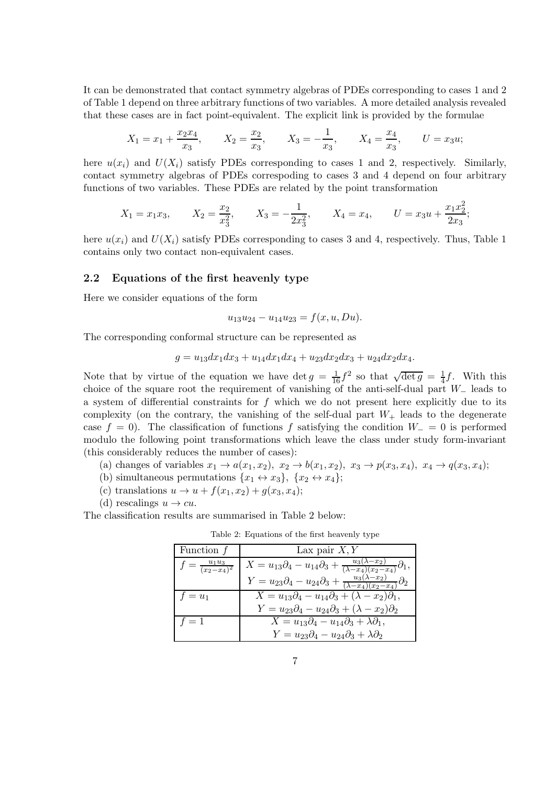It can be demonstrated that contact symmetry algebras of PDEs corresponding to cases 1 and 2 of Table 1 depend on three arbitrary functions of two variables. A more detailed analysis revealed that these cases are in fact point-equivalent. The explicit link is provided by the formulae

$$
X_1 = x_1 + \frac{x_2 x_4}{x_3}
$$
,  $X_2 = \frac{x_2}{x_3}$ ,  $X_3 = -\frac{1}{x_3}$ ,  $X_4 = \frac{x_4}{x_3}$ ,  $U = x_3 u$ ;

here  $u(x_i)$  and  $U(X_i)$  satisfy PDEs corresponding to cases 1 and 2, respectively. Similarly, contact symmetry algebras of PDEs correspoding to cases 3 and 4 depend on four arbitrary functions of two variables. These PDEs are related by the point transformation

$$
X_1 = x_1 x_3
$$
,  $X_2 = \frac{x_2}{x_3^2}$ ,  $X_3 = -\frac{1}{2x_3^2}$ ,  $X_4 = x_4$ ,  $U = x_3 u + \frac{x_1 x_2^2}{2x_3}$ ;

here  $u(x_i)$  and  $U(X_i)$  satisfy PDEs corresponding to cases 3 and 4, respectively. Thus, Table 1 contains only two contact non-equivalent cases.

### 2.2 Equations of the first heavenly type

Here we consider equations of the form

$$
u_{13}u_{24} - u_{14}u_{23} = f(x, u, Du).
$$

The corresponding conformal structure can be represented as

$$
g = u_{13}dx_1dx_3 + u_{14}dx_1dx_4 + u_{23}dx_2dx_3 + u_{24}dx_2dx_4.
$$

Note that by virtue of the equation we have det  $g = \frac{1}{16}f^2$  so that  $\sqrt{\det g} = \frac{1}{4}$  $\frac{1}{4}f$ . With this choice of the square root the requirement of vanishing of the anti-self-dual part W<sup>−</sup> leads to a system of differential constraints for  $f$  which we do not present here explicitly due to its complexity (on the contrary, the vanishing of the self-dual part  $W_+$  leads to the degenerate case  $f = 0$ ). The classification of functions f satisfying the condition  $W_ - = 0$  is performed modulo the following point transformations which leave the class under study form-invariant (this considerably reduces the number of cases):

- (a) changes of variables  $x_1 \to a(x_1, x_2), x_2 \to b(x_1, x_2), x_3 \to p(x_3, x_4), x_4 \to q(x_3, x_4);$
- (b) simultaneous permutations  $\{x_1 \leftrightarrow x_3\}$ ,  $\{x_2 \leftrightarrow x_4\}$ ;
- (c) translations  $u \rightarrow u + f(x_1, x_2) + g(x_3, x_4);$
- (d) rescalings  $u \to cu$ .

The classification results are summarised in Table 2 below:

| Function $f$                        | Lax pair $X, Y$                                                                                              |
|-------------------------------------|--------------------------------------------------------------------------------------------------------------|
| $f = \frac{u_1 u_3}{(x_2 - x_4)^2}$ | $X = u_{13}\partial_4 - u_{14}\partial_3 + \frac{u_3(\lambda - x_2)}{(\lambda - x_4)(x_2 - x_4)}\partial_1,$ |
|                                     | $Y = u_{23}\partial_4 - u_{24}\partial_3 + \frac{u_3(\lambda - x_2)}{(\lambda - x_4)(x_2 - x_4)}\partial_2$  |
| $f=u_1$                             | $X = u_{13}\partial_4 - u_{14}\partial_3 + (\lambda - x_2)\partial_1,$                                       |
|                                     | $Y = u_{23}\partial_4 - u_{24}\partial_3 + (\lambda - x_2)\partial_2$                                        |
| $f=1$                               | $X = u_{13}\partial_4 - u_{14}\partial_3 + \lambda \partial_1,$                                              |
|                                     | $Y = u_{23}\partial_4 - u_{24}\partial_3 + \lambda \partial_2$                                               |

Table 2: Equations of the first heavenly type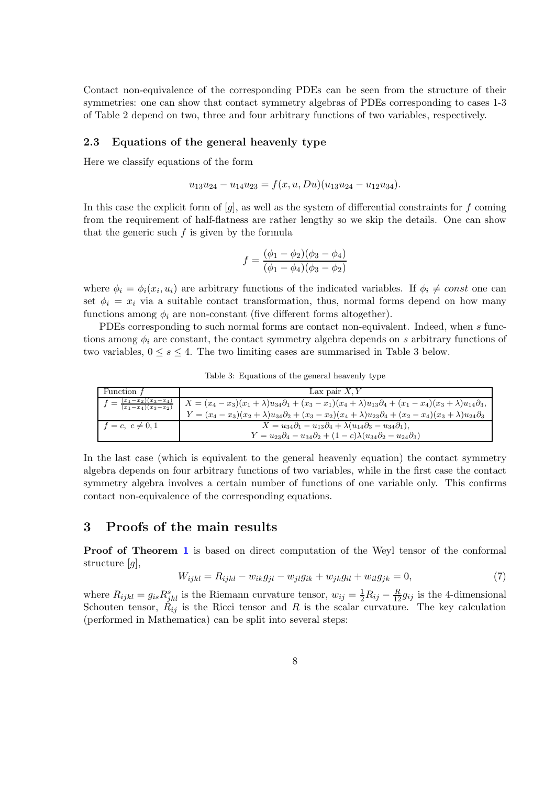Contact non-equivalence of the corresponding PDEs can be seen from the structure of their symmetries: one can show that contact symmetry algebras of PDEs corresponding to cases 1-3 of Table 2 depend on two, three and four arbitrary functions of two variables, respectively.

### 2.3 Equations of the general heavenly type

Here we classify equations of the form

$$
u_{13}u_{24} - u_{14}u_{23} = f(x, u, Du)(u_{13}u_{24} - u_{12}u_{34}).
$$

In this case the explicit form of  $[g]$ , as well as the system of differential constraints for f coming from the requirement of half-flatness are rather lengthy so we skip the details. One can show that the generic such  $f$  is given by the formula

$$
f = \frac{(\phi_1 - \phi_2)(\phi_3 - \phi_4)}{(\phi_1 - \phi_4)(\phi_3 - \phi_2)}
$$

where  $\phi_i = \phi_i(x_i, u_i)$  are arbitrary functions of the indicated variables. If  $\phi_i \neq const$  one can set  $\phi_i = x_i$  via a suitable contact transformation, thus, normal forms depend on how many functions among  $\phi_i$  are non-constant (five different forms altogether).

PDEs corresponding to such normal forms are contact non-equivalent. Indeed, when s functions among  $\phi_i$  are constant, the contact symmetry algebra depends on s arbitrary functions of two variables,  $0 \leq s \leq 4$ . The two limiting cases are summarised in Table 3 below.

| Function $f$                                    | Lax pair $X, Y$                                                                                                                             |
|-------------------------------------------------|---------------------------------------------------------------------------------------------------------------------------------------------|
| $\frac{(x_1-x_2)(x_3-x_4)}{(x_1-x_4)(x_3-x_2)}$ | $X = (x_4 - x_3)(x_1 + \lambda)u_{34}\partial_1 + (x_3 - x_1)(x_4 + \lambda)u_{13}\partial_4 + (x_1 - x_4)(x_3 + \lambda)u_{14}\partial_3,$ |
|                                                 | $Y = (x_4 - x_3)(x_2 + \lambda)u_{34}\partial_2 + (x_3 - x_2)(x_4 + \lambda)u_{23}\partial_4 + (x_2 - x_4)(x_3 + \lambda)u_{24}\partial_3$  |
| $=c, c\neq 0, 1$                                | $X = u_{34}\partial_1 - u_{13}\partial_4 + \lambda(u_{14}\partial_3 - u_{34}\partial_1),$                                                   |
|                                                 | $Y = u_{23}\partial_4 - u_{34}\partial_2 + (1-c)\lambda(u_{34}\partial_2 - u_{24}\partial_3)$                                               |

Table 3: Equations of the general heavenly type

In the last case (which is equivalent to the general heavenly equation) the contact symmetry algebra depends on four arbitrary functions of two variables, while in the first case the contact symmetry algebra involves a certain number of functions of one variable only. This confirms contact non-equivalence of the corresponding equations.

# <span id="page-7-0"></span>3 Proofs of the main results

Proof of Theorem [1](#page-1-4) is based on direct computation of the Weyl tensor of the conformal structure  $[g]$ ,

$$
W_{ijkl} = R_{ijkl} - w_{ik}g_{jl} - w_{jl}g_{ik} + w_{jk}g_{il} + w_{il}g_{jk} = 0,
$$
\n(7)

where  $R_{ijkl} = g_{is} R_{jkl}^s$  is the Riemann curvature tensor,  $w_{ij} = \frac{1}{2} R_{ij} - \frac{R}{12} g_{ij}$  is the 4-dimensional Schouten tensor,  $\hat{R}_{ij}$  is the Ricci tensor and R is the scalar curvature. The key calculation (performed in Mathematica) can be split into several steps: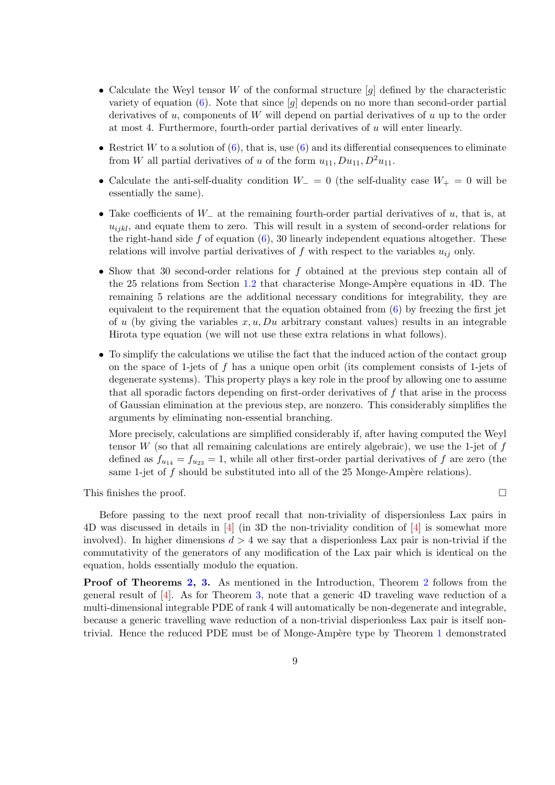- Calculate the Weyl tensor W of the conformal structure  $[q]$  defined by the characteristic variety of equation  $(6)$ . Note that since  $[g]$  depends on no more than second-order partial derivatives of  $u$ , components of  $W$  will depend on partial derivatives of  $u$  up to the order at most 4. Furthermore, fourth-order partial derivatives of u will enter linearly.
- Restrict W to a solution of  $(6)$ , that is, use  $(6)$  and its differential consequences to eliminate from W all partial derivatives of u of the form  $u_{11}$ ,  $Du_{11}$ ,  $D^2u_{11}$ .
- Calculate the anti-self-duality condition  $W_-=0$  (the self-duality case  $W_+=0$  will be essentially the same).
- Take coefficients of  $W_-\$  at the remaining fourth-order partial derivatives of u, that is, at  $u_{ijkl}$ , and equate them to zero. This will result in a system of second-order relations for the right-hand side  $f$  of equation  $(6)$ , 30 linearly independent equations altogether. These relations will involve partial derivatives of f with respect to the variables  $u_{ij}$  only.
- Show that 30 second-order relations for f obtained at the previous step contain all of the 25 relations from Section [1.2](#page-3-1) that characterise Monge-Ampère equations in 4D. The remaining 5 relations are the additional necessary conditions for integrability, they are equivalent to the requirement that the equation obtained from [\(6\)](#page-3-0) by freezing the first jet of u (by giving the variables  $x, u, Du$  arbitrary constant values) results in an integrable Hirota type equation (we will not use these extra relations in what follows).
- To simplify the calculations we utilise the fact that the induced action of the contact group on the space of 1-jets of  $f$  has a unique open orbit (its complement consists of 1-jets of degenerate systems). This property plays a key role in the proof by allowing one to assume that all sporadic factors depending on first-order derivatives of  $f$  that arise in the process of Gaussian elimination at the previous step, are nonzero. This considerably simplifies the arguments by eliminating non-essential branching.

More precisely, calculations are simplified considerably if, after having computed the Weyl tensor W (so that all remaining calculations are entirely algebraic), we use the 1-jet of  $f$ defined as  $f_{u_{14}} = f_{u_{23}} = 1$ , while all other first-order partial derivatives of f are zero (the same 1-jet of  $f$  should be substituted into all of the 25 Monge-Ampère relations).

This finishes the proof.  $\Box$ 

Before passing to the next proof recall that non-triviality of dispersionless Lax pairs in 4D was discussed in details in [\[4\]](#page-11-1) (in 3D the non-triviality condition of [\[4\]](#page-11-1) is somewhat more involved). In higher dimensions  $d > 4$  we say that a disperionless Lax pair is non-trivial if the commutativity of the generators of any modification of the Lax pair which is identical on the equation, holds essentially modulo the equation.

Proof of Theorems [2,](#page-1-3) [3.](#page-2-2) As mentioned in the Introduction, Theorem [2](#page-1-3) follows from the general result of [\[4\]](#page-11-1). As for Theorem [3,](#page-2-2) note that a generic 4D traveling wave reduction of a multi-dimensional integrable PDE of rank 4 will automatically be non-degenerate and integrable, because a generic travelling wave reduction of a non-trivial disperionless Lax pair is itself non-trivial. Hence the reduced PDE must be of Monge-Ampère type by Theorem [1](#page-1-4) demonstrated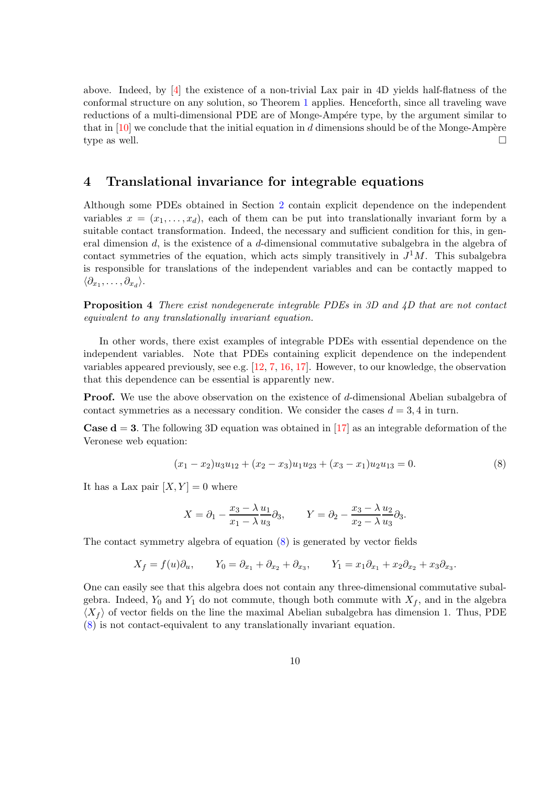above. Indeed, by [\[4\]](#page-11-1) the existence of a non-trivial Lax pair in 4D yields half-flatness of the conformal structure on any solution, so Theorem [1](#page-1-4) applies. Henceforth, since all traveling wave reductions of a multi-dimensional PDE are of Monge-Ampére type, by the argument similar to that in  $[10]$  we conclude that the initial equation in d dimensions should be of the Monge-Ampère type as well.  $\square$ 

# <span id="page-9-0"></span>4 Translational invariance for integrable equations

Although some PDEs obtained in Section [2](#page-4-1) contain explicit dependence on the independent variables  $x = (x_1, \ldots, x_d)$ , each of them can be put into translationally invariant form by a suitable contact transformation. Indeed, the necessary and sufficient condition for this, in general dimension d, is the existence of a d-dimensional commutative subalgebra in the algebra of contact symmetries of the equation, which acts simply transitively in  $J<sup>1</sup>M$ . This subalgebra is responsible for translations of the independent variables and can be contactly mapped to  $\langle \partial_{x_1}, \ldots, \partial_{x_d} \rangle$ .

<span id="page-9-2"></span>Proposition 4 There exist nondegenerate integrable PDEs in 3D and 4D that are not contact equivalent to any translationally invariant equation.

In other words, there exist examples of integrable PDEs with essential dependence on the independent variables. Note that PDEs containing explicit dependence on the independent variables appeared previously, see e.g.  $[12, 7, 16, 17]$  $[12, 7, 16, 17]$  $[12, 7, 16, 17]$  $[12, 7, 16, 17]$  $[12, 7, 16, 17]$  $[12, 7, 16, 17]$ . However, to our knowledge, the observation that this dependence can be essential is apparently new.

**Proof.** We use the above observation on the existence of d-dimensional Abelian subalgebra of contact symmetries as a necessary condition. We consider the cases  $d = 3, 4$  in turn.

**Case d = 3.** The following 3D equation was obtained in [\[17\]](#page-12-12) as an integrable deformation of the Veronese web equation:

<span id="page-9-1"></span>
$$
(x_1 - x_2)u_3u_{12} + (x_2 - x_3)u_1u_{23} + (x_3 - x_1)u_2u_{13} = 0.
$$
 (8)

It has a Lax pair  $[X, Y] = 0$  where

$$
X = \partial_1 - \frac{x_3 - \lambda u_1}{x_1 - \lambda u_3} \partial_3, \qquad Y = \partial_2 - \frac{x_3 - \lambda u_2}{x_2 - \lambda u_3} \partial_3.
$$

The contact symmetry algebra of equation [\(8\)](#page-9-1) is generated by vector fields

$$
X_f = f(u)\partial_u, \qquad Y_0 = \partial_{x_1} + \partial_{x_2} + \partial_{x_3}, \qquad Y_1 = x_1\partial_{x_1} + x_2\partial_{x_2} + x_3\partial_{x_3}.
$$

One can easily see that this algebra does not contain any three-dimensional commutative subalgebra. Indeed,  $Y_0$  and  $Y_1$  do not commute, though both commute with  $X_f$ , and in the algebra  $\langle X_f \rangle$  of vector fields on the line the maximal Abelian subalgebra has dimension 1. Thus, PDE [\(8\)](#page-9-1) is not contact-equivalent to any translationally invariant equation.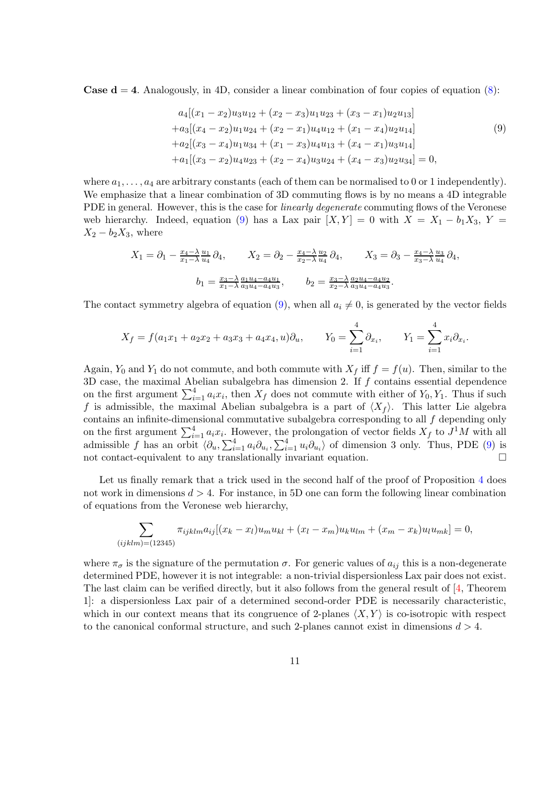**Case d = 4.** Analogously, in 4D, consider a linear combination of four copies of equation  $(8)$ :

<span id="page-10-0"></span>
$$
a_4[(x_1 - x_2)u_3u_{12} + (x_2 - x_3)u_1u_{23} + (x_3 - x_1)u_2u_{13}]
$$
  
+
$$
a_3[(x_4 - x_2)u_1u_{24} + (x_2 - x_1)u_4u_{12} + (x_1 - x_4)u_2u_{14}]
$$
  
+
$$
a_2[(x_3 - x_4)u_1u_{34} + (x_1 - x_3)u_4u_{13} + (x_4 - x_1)u_3u_{14}]
$$
  
+
$$
a_1[(x_3 - x_2)u_4u_{23} + (x_2 - x_4)u_3u_{24} + (x_4 - x_3)u_2u_{34}] = 0,
$$
  
(9)

where  $a_1, \ldots, a_4$  are arbitrary constants (each of them can be normalised to 0 or 1 independently). We emphasize that a linear combination of 3D commuting flows is by no means a 4D integrable PDE in general. However, this is the case for *linearly degenerate* commuting flows of the Veronese web hierarchy. Indeed, equation [\(9\)](#page-10-0) has a Lax pair  $[X, Y] = 0$  with  $X = X_1 - b_1X_3$ ,  $Y =$  $X_2 - b_2X_3$ , where

$$
X_1 = \partial_1 - \frac{x_4 - \lambda}{x_1 - \lambda} \frac{u_1}{u_4} \partial_4, \qquad X_2 = \partial_2 - \frac{x_4 - \lambda}{x_2 - \lambda} \frac{u_2}{u_4} \partial_4, \qquad X_3 = \partial_3 - \frac{x_4 - \lambda}{x_3 - \lambda} \frac{u_3}{u_4} \partial_4,
$$

$$
b_1 = \frac{x_3 - \lambda}{x_1 - \lambda} \frac{a_1 u_4 - a_4 u_1}{a_3 u_4 - a_4 u_3}, \qquad b_2 = \frac{x_3 - \lambda}{x_2 - \lambda} \frac{a_2 u_4 - a_4 u_2}{a_3 u_4 - a_4 u_3}.
$$

The contact symmetry algebra of equation [\(9\)](#page-10-0), when all  $a_i \neq 0$ , is generated by the vector fields

$$
X_f = f(a_1x_1 + a_2x_2 + a_3x_3 + a_4x_4, u)\partial_u,
$$
  $Y_0 = \sum_{i=1}^4 \partial_{x_i},$   $Y_1 = \sum_{i=1}^4 x_i \partial_{x_i}.$ 

Again,  $Y_0$  and  $Y_1$  do not commute, and both commute with  $X_f$  iff  $f = f(u)$ . Then, similar to the  $3D$  case, the maximal Abelian subalgebra has dimension 2. If  $f$  contains essential dependence on the first argument  $\sum_{i=1}^{4} a_i x_i$ , then  $X_f$  does not commute with either of  $Y_0, Y_1$ . Thus if such f is admissible, the maximal Abelian subalgebra is a part of  $\langle X_f \rangle$ . This latter Lie algebra contains an infinite-dimensional commutative subalgebra corresponding to all f depending only on the first argument  $\sum_{i=1}^{4} a_i x_i$ . However, the prolongation of vector fields  $X_f$  to  $J^1M$  with all admissible f has an orbit  $\langle \partial_u, \sum_{i=1}^4 a_i \partial_{u_i}, \sum_{i=1}^4 u_i \partial_{u_i} \rangle$  of dimension 3 only. Thus, PDE [\(9\)](#page-10-0) is not contact-equivalent to any translationally invariant equation.  $\Box$ 

Let us finally remark that a trick used in the second half of the proof of Proposition [4](#page-9-2) does not work in dimensions  $d > 4$ . For instance, in 5D one can form the following linear combination of equations from the Veronese web hierarchy,

$$
\sum_{(ijklm)=(12345)} \pi_{ijklm} a_{ij} [(x_k - x_l)u_m u_{kl} + (x_l - x_m)u_k u_{lm} + (x_m - x_k)u_l u_{mk}] = 0,
$$

where  $\pi_{\sigma}$  is the signature of the permutation  $\sigma$ . For generic values of  $a_{ij}$  this is a non-degenerate determined PDE, however it is not integrable: a non-trivial dispersionless Lax pair does not exist. The last claim can be verified directly, but it also follows from the general result of [\[4,](#page-11-1) Theorem 1]: a dispersionless Lax pair of a determined second-order PDE is necessarily characteristic, which in our context means that its congruence of 2-planes  $\langle X, Y \rangle$  is co-isotropic with respect to the canonical conformal structure, and such 2-planes cannot exist in dimensions  $d > 4$ .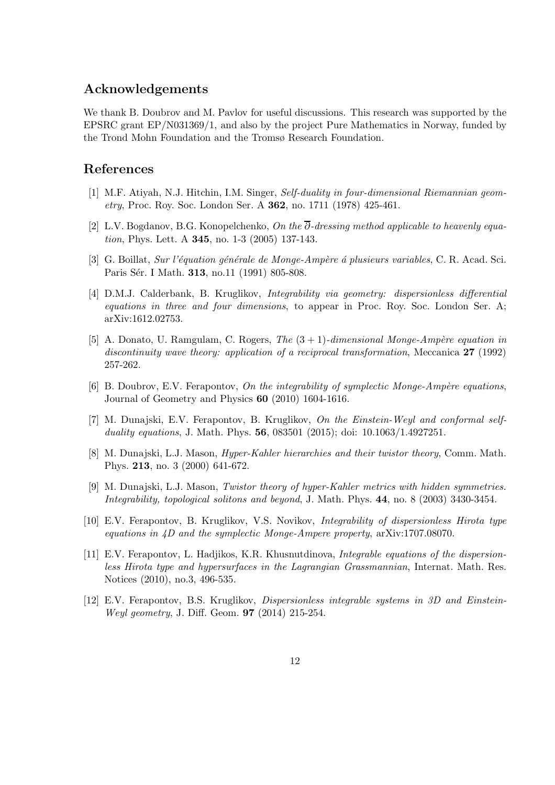# Acknowledgements

We thank B. Doubrov and M. Pavlov for useful discussions. This research was supported by the EPSRC grant EP/N031369/1, and also by the project Pure Mathematics in Norway, funded by the Trond Mohn Foundation and the Tromsø Research Foundation.

# <span id="page-11-7"></span>References

- [1] M.F. Atiyah, N.J. Hitchin, I.M. Singer, Self-duality in four-dimensional Riemannian geometry, Proc. Roy. Soc. London Ser. A 362, no. 1711 (1978) 425-461.
- <span id="page-11-10"></span><span id="page-11-4"></span>[2] L.V. Bogdanov, B.G. Konopelchenko, On the  $\overline{\partial}$ -dressing method applicable to heavenly equation, Phys. Lett. A 345, no. 1-3 (2005) 137-143.
- <span id="page-11-1"></span>[3] G. Boillat, Sur l'équation générale de Monge-Ampère à plusieurs variables, C. R. Acad. Sci. Paris Sér. I Math. 313, no.11 (1991) 805-808.
- [4] D.M.J. Calderbank, B. Kruglikov, Integrability via geometry: dispersionless differential equations in three and four dimensions, to appear in Proc. Roy. Soc. London Ser. A; arXiv:1612.02753.
- <span id="page-11-5"></span>[5] A. Donato, U. Ramgulam, C. Rogers, The  $(3 + 1)$ -dimensional Monge-Ampère equation in discontinuity wave theory: application of a reciprocal transformation, Meccanica 27 (1992) 257-262.
- <span id="page-11-6"></span><span id="page-11-3"></span>[6] B. Doubrov, E.V. Ferapontov, On the integrability of symplectic Monge-Ampère equations, Journal of Geometry and Physics 60 (2010) 1604-1616.
- [7] M. Dunajski, E.V. Ferapontov, B. Kruglikov, On the Einstein-Weyl and conformal selfduality equations, J. Math. Phys. **56**, 083501 (2015); doi: 10.1063/1.4927251.
- <span id="page-11-9"></span>[8] M. Dunajski, L.J. Mason, Hyper-Kahler hierarchies and their twistor theory, Comm. Math. Phys. 213, no. 3 (2000) 641-672.
- <span id="page-11-8"></span>[9] M. Dunajski, L.J. Mason, Twistor theory of hyper-Kahler metrics with hidden symmetries. Integrability, topological solitons and beyond, J. Math. Phys. 44, no. 8 (2003) 3430-3454.
- <span id="page-11-2"></span><span id="page-11-0"></span>[10] E.V. Ferapontov, B. Kruglikov, V.S. Novikov, Integrability of dispersionless Hirota type equations in 4D and the symplectic Monge-Ampere property, arXiv:1707.08070.
- [11] E.V. Ferapontov, L. Hadjikos, K.R. Khusnutdinova, Integrable equations of the dispersionless Hirota type and hypersurfaces in the Lagrangian Grassmannian, Internat. Math. Res. Notices (2010), no.3, 496-535.
- <span id="page-11-11"></span>[12] E.V. Ferapontov, B.S. Kruglikov, Dispersionless integrable systems in 3D and Einstein-Weyl geometry, J. Diff. Geom. 97 (2014) 215-254.